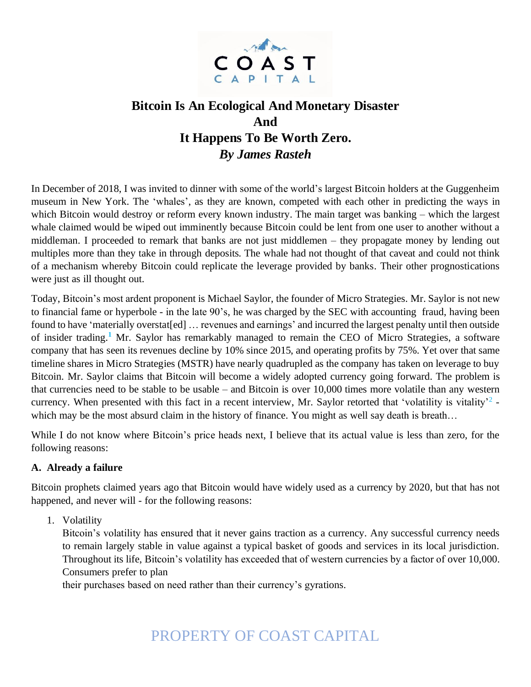

# **Bitcoin Is An Ecological And Monetary Disaster And It Happens To Be Worth Zero.** *By James Rasteh*

In December of 2018, I was invited to dinner with some of the world's largest Bitcoin holders at the Guggenheim museum in New York. The 'whales', as they are known, competed with each other in predicting the ways in which Bitcoin would destroy or reform every known industry. The main target was banking – which the largest whale claimed would be wiped out imminently because Bitcoin could be lent from one user to another without a middleman. I proceeded to remark that banks are not just middlemen – they propagate money by lending out multiples more than they take in through deposits. The whale had not thought of that caveat and could not think of a mechanism whereby Bitcoin could replicate the leverage provided by banks. Their other prognostications were just as ill thought out.

Today, Bitcoin's most ardent proponent is Michael Saylor, the founder of Micro Strategies. Mr. Saylor is not new to financial fame or hyperbole - in the late 90's, he was charged by the SEC with accounting fraud, having been found to have 'materially overstat[ed] ... revenues and earnings' and incurred the largest penalty until then outside of insider trading. **<sup>1</sup>** Mr. Saylor has remarkably managed to remain the CEO of Micro Strategies, a software company that has seen its revenues decline by 10% since 2015, and operating profits by 75%. Yet over that same timeline shares in Micro Strategies (MSTR) have nearly quadrupled as the company has taken on leverage to buy Bitcoin. Mr. Saylor claims that Bitcoin will become a widely adopted currency going forward. The problem is that currencies need to be stable to be usable – and Bitcoin is over 10,000 times more volatile than any western currency. When presented with this fact in a recent interview, Mr. Saylor retorted that 'volatility is vitality'<sup>2</sup> which may be the most absurd claim in the history of finance. You might as well say death is breath...

While I do not know where Bitcoin's price heads next, I believe that its actual value is less than zero, for the following reasons:

# **A. Already a failure**

Bitcoin prophets claimed years ago that Bitcoin would have widely used as a currency by 2020, but that has not happened, and never will - for the following reasons:

1. Volatility

Bitcoin's volatility has ensured that it never gains traction as a currency. Any successful currency needs to remain largely stable in value against a typical basket of goods and services in its local jurisdiction. Throughout its life, Bitcoin's volatility has exceeded that of western currencies by a factor of over 10,000. Consumers prefer to plan

their purchases based on need rather than their currency's gyrations.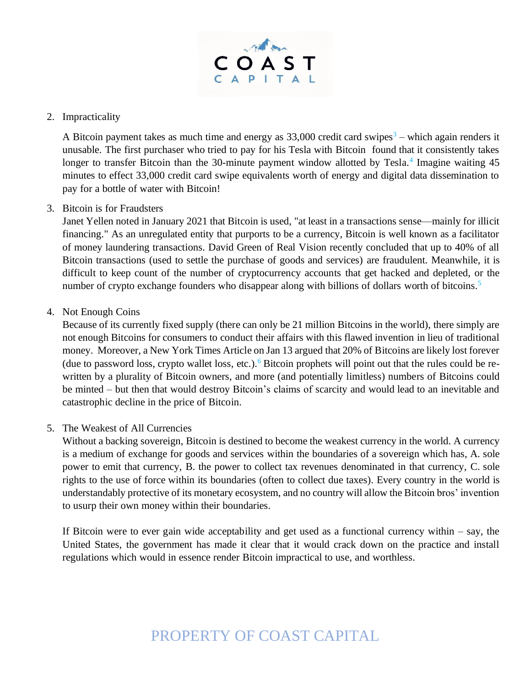

### 2. Impracticality

A Bitcoin payment takes as much time and energy as  $33,000$  credit card swipes<sup>3</sup> – which again renders it unusable. The first purchaser who tried to pay for his Tesla with Bitcoin found that it consistently takes longer to transfer Bitcoin than the 30-minute payment window allotted by Tesla.<sup>4</sup> Imagine waiting 45 minutes to effect 33,000 credit card swipe equivalents worth of energy and digital data dissemination to pay for a bottle of water with Bitcoin!

### 3. Bitcoin is for Fraudsters

Janet Yellen noted in January 2021 that Bitcoin is used, "at least in a transactions sense—mainly for illicit financing." As an unregulated entity that purports to be a currency, Bitcoin is well known as a facilitator of money laundering transactions. David Green of Real Vision recently concluded that up to 40% of all Bitcoin transactions (used to settle the purchase of goods and services) are fraudulent. Meanwhile, it is difficult to keep count of the number of cryptocurrency accounts that get hacked and depleted, or the number of crypto exchange founders who disappear along with billions of dollars worth of bitcoins.<sup>5</sup>

### 4. Not Enough Coins

Because of its currently fixed supply (there can only be 21 million Bitcoins in the world), there simply are not enough Bitcoins for consumers to conduct their affairs with this flawed invention in lieu of traditional money. Moreover, a New York Times Article on Jan 13 argued that 20% of Bitcoins are likely lost forever (due to password loss, crypto wallet loss, etc.).<sup>6</sup> Bitcoin prophets will point out that the rules could be rewritten by a plurality of Bitcoin owners, and more (and potentially limitless) numbers of Bitcoins could be minted – but then that would destroy Bitcoin's claims of scarcity and would lead to an inevitable and catastrophic decline in the price of Bitcoin.

#### 5. The Weakest of All Currencies

Without a backing sovereign, Bitcoin is destined to become the weakest currency in the world. A currency is a medium of exchange for goods and services within the boundaries of a sovereign which has, A. sole power to emit that currency, B. the power to collect tax revenues denominated in that currency, C. sole rights to the use of force within its boundaries (often to collect due taxes). Every country in the world is understandably protective of its monetary ecosystem, and no country will allow the Bitcoin bros' invention to usurp their own money within their boundaries.

If Bitcoin were to ever gain wide acceptability and get used as a functional currency within  $-$  say, the United States, the government has made it clear that it would crack down on the practice and install regulations which would in essence render Bitcoin impractical to use, and worthless.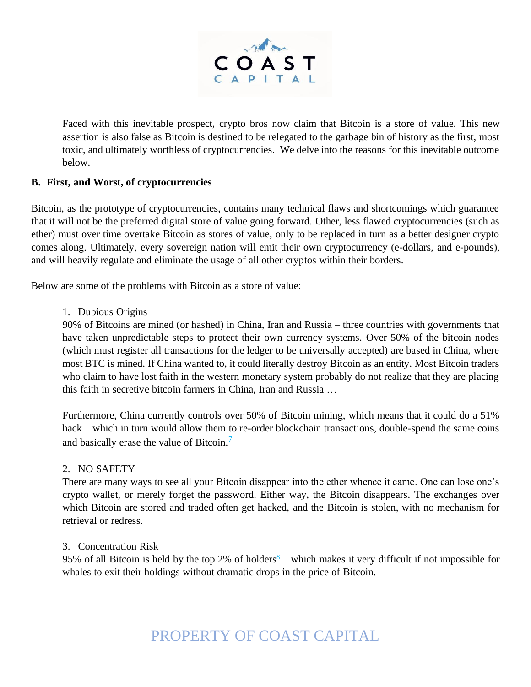

Faced with this inevitable prospect, crypto bros now claim that Bitcoin is a store of value. This new assertion is also false as Bitcoin is destined to be relegated to the garbage bin of history as the first, most toxic, and ultimately worthless of cryptocurrencies. We delve into the reasons for this inevitable outcome below.

# **B. First, and Worst, of cryptocurrencies**

Bitcoin, as the prototype of cryptocurrencies, contains many technical flaws and shortcomings which guarantee that it will not be the preferred digital store of value going forward. Other, less flawed cryptocurrencies (such as ether) must over time overtake Bitcoin as stores of value, only to be replaced in turn as a better designer crypto comes along. Ultimately, every sovereign nation will emit their own cryptocurrency (e-dollars, and e-pounds), and will heavily regulate and eliminate the usage of all other cryptos within their borders.

Below are some of the problems with Bitcoin as a store of value:

#### 1. Dubious Origins

90% of Bitcoins are mined (or hashed) in China, Iran and Russia – three countries with governments that have taken unpredictable steps to protect their own currency systems. Over 50% of the bitcoin nodes (which must register all transactions for the ledger to be universally accepted) are based in China, where most BTC is mined. If China wanted to, it could literally destroy Bitcoin as an entity. Most Bitcoin traders who claim to have lost faith in the western monetary system probably do not realize that they are placing this faith in secretive bitcoin farmers in China, Iran and Russia …

Furthermore, China currently controls over 50% of Bitcoin mining, which means that it could do a 51% hack – which in turn would allow them to re-order blockchain transactions, double-spend the same coins and basically erase the value of Bitcoin.<sup>7</sup>

#### 2. NO SAFETY

There are many ways to see all your Bitcoin disappear into the ether whence it came. One can lose one's crypto wallet, or merely forget the password. Either way, the Bitcoin disappears. The exchanges over which Bitcoin are stored and traded often get hacked, and the Bitcoin is stolen, with no mechanism for retrieval or redress.

#### 3. Concentration Risk

95% of all Bitcoin is held by the top 2% of holders<sup>8</sup> – which makes it very difficult if not impossible for whales to exit their holdings without dramatic drops in the price of Bitcoin.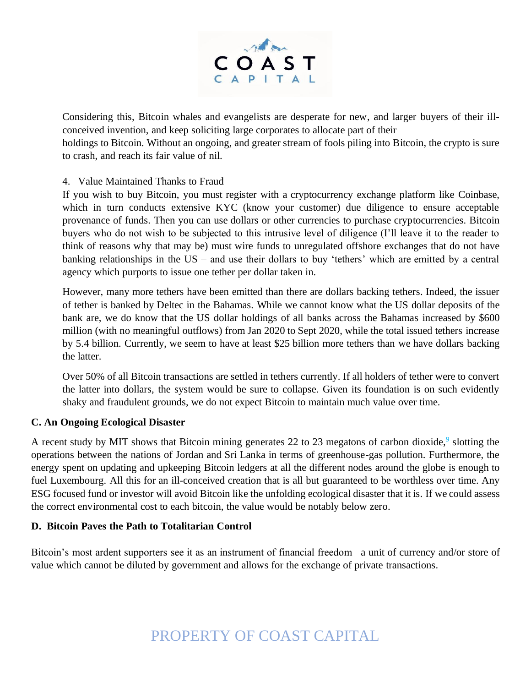

Considering this, Bitcoin whales and evangelists are desperate for new, and larger buyers of their illconceived invention, and keep soliciting large corporates to allocate part of their

holdings to Bitcoin. Without an ongoing, and greater stream of fools piling into Bitcoin, the crypto is sure to crash, and reach its fair value of nil.

# 4. Value Maintained Thanks to Fraud

If you wish to buy Bitcoin, you must register with a cryptocurrency exchange platform like Coinbase, which in turn conducts extensive KYC (know your customer) due diligence to ensure acceptable provenance of funds. Then you can use dollars or other currencies to purchase cryptocurrencies. Bitcoin buyers who do not wish to be subjected to this intrusive level of diligence (I'll leave it to the reader to think of reasons why that may be) must wire funds to unregulated offshore exchanges that do not have banking relationships in the US – and use their dollars to buy 'tethers' which are emitted by a central agency which purports to issue one tether per dollar taken in.

However, many more tethers have been emitted than there are dollars backing tethers. Indeed, the issuer of tether is banked by Deltec in the Bahamas. While we cannot know what the US dollar deposits of the bank are, we do know that the US dollar holdings of all banks across the Bahamas increased by \$600 million (with no meaningful outflows) from Jan 2020 to Sept 2020, while the total issued tethers increase by 5.4 billion. Currently, we seem to have at least \$25 billion more tethers than we have dollars backing the latter.

Over 50% of all Bitcoin transactions are settled in tethers currently. If all holders of tether were to convert the latter into dollars, the system would be sure to collapse. Given its foundation is on such evidently shaky and fraudulent grounds, we do not expect Bitcoin to maintain much value over time.

#### **C. An Ongoing Ecological Disaster**

A recent study by MIT shows that Bitcoin mining generates 22 to 23 megatons of carbon dioxide,<sup>9</sup> slotting the operations between the nations of Jordan and Sri Lanka in terms of greenhouse-gas pollution. Furthermore, the energy spent on updating and upkeeping Bitcoin ledgers at all the different nodes around the globe is enough to fuel Luxembourg. All this for an ill-conceived creation that is all but guaranteed to be worthless over time. Any ESG focused fund or investor will avoid Bitcoin like the unfolding ecological disaster that it is. If we could assess the correct environmental cost to each bitcoin, the value would be notably below zero.

#### **D. Bitcoin Paves the Path to Totalitarian Control**

Bitcoin's most ardent supporters see it as an instrument of financial freedom– a unit of currency and/or store of value which cannot be diluted by government and allows for the exchange of private transactions.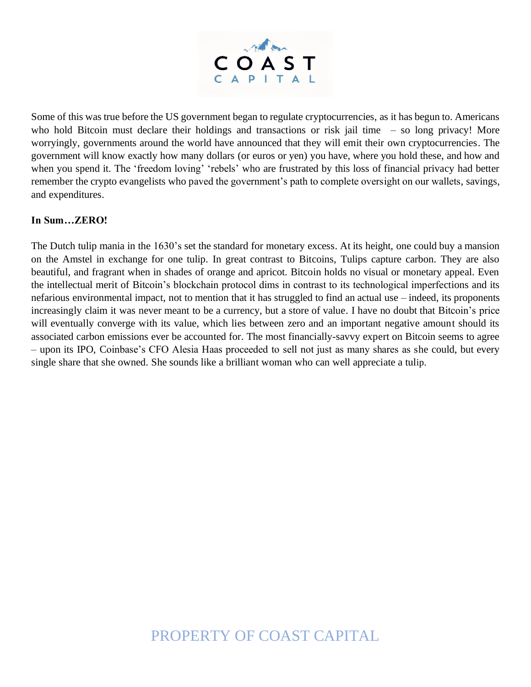

Some of this was true before the US government began to regulate cryptocurrencies, as it has begun to. Americans who hold Bitcoin must declare their holdings and transactions or risk jail time – so long privacy! More worryingly, governments around the world have announced that they will emit their own cryptocurrencies. The government will know exactly how many dollars (or euros or yen) you have, where you hold these, and how and when you spend it. The 'freedom loving' 'rebels' who are frustrated by this loss of financial privacy had better remember the crypto evangelists who paved the government's path to complete oversight on our wallets, savings, and expenditures.

### **In Sum…ZERO!**

The Dutch tulip mania in the 1630's set the standard for monetary excess. At its height, one could buy a mansion on the Amstel in exchange for one tulip. In great contrast to Bitcoins, Tulips capture carbon. They are also beautiful, and fragrant when in shades of orange and apricot. Bitcoin holds no visual or monetary appeal. Even the intellectual merit of Bitcoin's blockchain protocol dims in contrast to its technological imperfections and its nefarious environmental impact, not to mention that it has struggled to find an actual use – indeed, its proponents increasingly claim it was never meant to be a currency, but a store of value. I have no doubt that Bitcoin's price will eventually converge with its value, which lies between zero and an important negative amount should its associated carbon emissions ever be accounted for. The most financially-savvy expert on Bitcoin seems to agree – upon its IPO, Coinbase's CFO Alesia Haas proceeded to sell not just as many shares as she could, but every single share that she owned. She sounds like a brilliant woman who can well appreciate a tulip.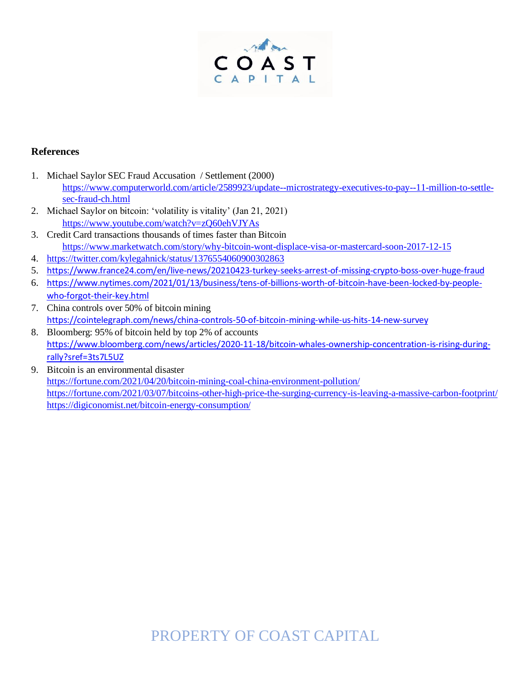

#### **References**

- 1. Michael Saylor SEC Fraud Accusation / Settlement (2000) [https://www.computerworld.com/article/2589923/update--microstrategy-executives-to-pay--11-million-to-settle](https://www.computerworld.com/article/2589923/update--microstrategy-executives-to-pay--11-million-to-settle-sec-fraud-ch.html)[sec-fraud-ch.html](https://www.computerworld.com/article/2589923/update--microstrategy-executives-to-pay--11-million-to-settle-sec-fraud-ch.html)
- 2. Michael Saylor on bitcoin: 'volatility is vitality' (Jan 21, 2021) <https://www.youtube.com/watch?v=zQ60ehVJYAs>
- 3. Credit Card transactions thousands of times faster than Bitcoin <https://www.marketwatch.com/story/why-bitcoin-wont-displace-visa-or-mastercard-soon-2017-12-15>
- 4. <https://twitter.com/kylegahnick/status/1376554060900302863>
- 5. <https://www.france24.com/en/live-news/20210423-turkey-seeks-arrest-of-missing-crypto-boss-over-huge-fraud>
- 6. [https://www.nytimes.com/2021/01/13/business/tens-of-billions-worth-of-bitcoin-have-been-locked-by-people](https://www.nytimes.com/2021/01/13/business/tens-of-billions-worth-of-bitcoin-have-been-locked-by-people-who-forgot-their-key.html)[who-forgot-their-key.html](https://www.nytimes.com/2021/01/13/business/tens-of-billions-worth-of-bitcoin-have-been-locked-by-people-who-forgot-their-key.html)
- 7. China controls over 50% of bitcoin mining <https://cointelegraph.com/news/china-controls-50-of-bitcoin-mining-while-us-hits-14-new-survey>
- 8. Bloomberg: 95% of bitcoin held by top 2% of accounts [https://www.bloomberg.com/news/articles/2020-11-18/bitcoin-whales-ownership-concentration-is-rising-during](https://www.bloomberg.com/news/articles/2020-11-18/bitcoin-whales-ownership-concentration-is-rising-during-rally?sref=3ts7L5UZ)[rally?sref=3ts7L5UZ](https://www.bloomberg.com/news/articles/2020-11-18/bitcoin-whales-ownership-concentration-is-rising-during-rally?sref=3ts7L5UZ)
- 9. Bitcoin is an environmental disaster <https://fortune.com/2021/04/20/bitcoin-mining-coal-china-environment-pollution/> <https://fortune.com/2021/03/07/bitcoins-other-high-price-the-surging-currency-is-leaving-a-massive-carbon-footprint/> <https://digiconomist.net/bitcoin-energy-consumption/>